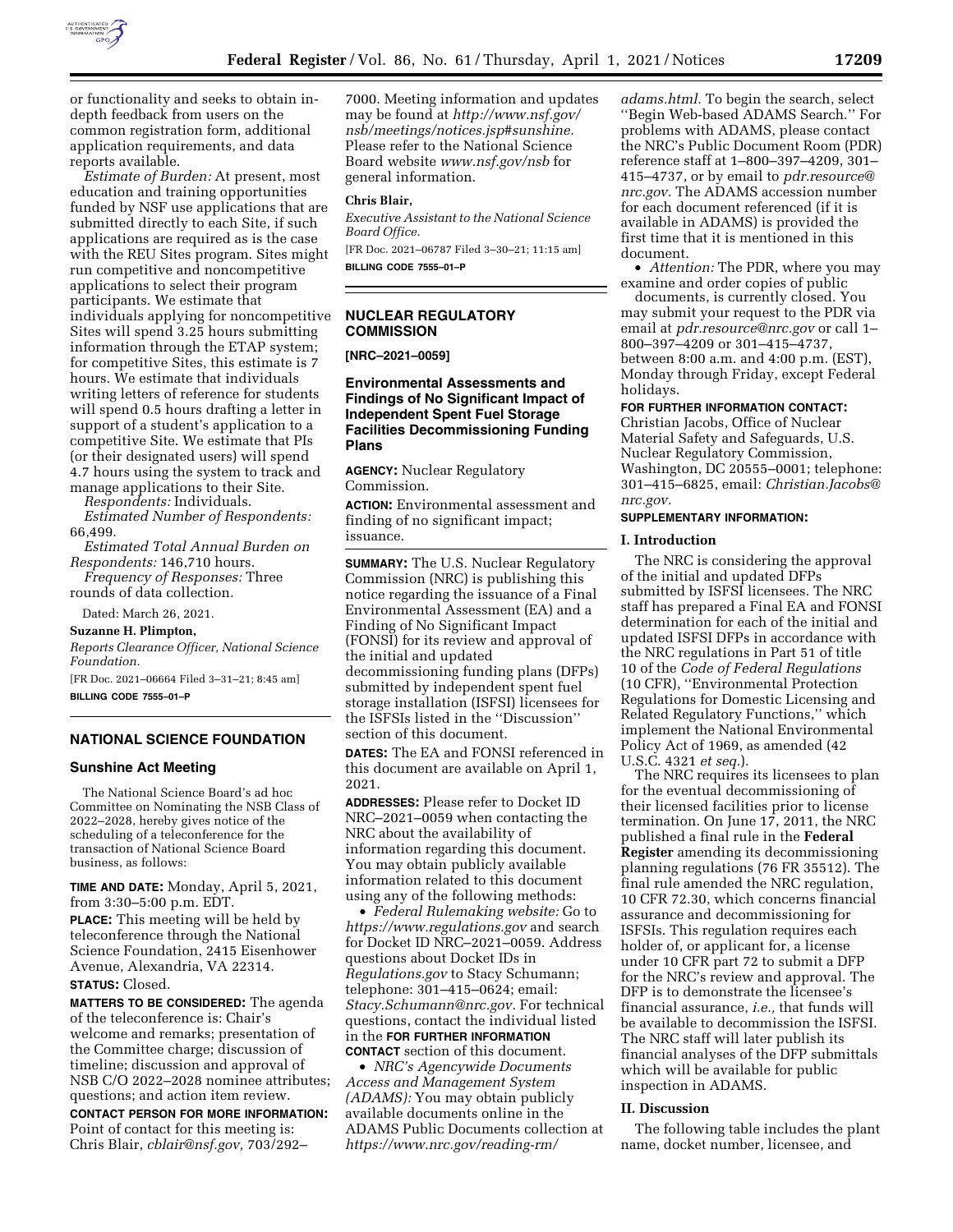

or functionality and seeks to obtain indepth feedback from users on the common registration form, additional application requirements, and data reports available.

*Estimate of Burden:* At present, most education and training opportunities funded by NSF use applications that are submitted directly to each Site, if such applications are required as is the case with the REU Sites program. Sites might run competitive and noncompetitive applications to select their program participants. We estimate that individuals applying for noncompetitive Sites will spend 3.25 hours submitting information through the ETAP system; for competitive Sites, this estimate is 7 hours. We estimate that individuals writing letters of reference for students will spend 0.5 hours drafting a letter in support of a student's application to a competitive Site. We estimate that PIs (or their designated users) will spend 4.7 hours using the system to track and manage applications to their Site.

*Respondents:* Individuals.

*Estimated Number of Respondents:*  66,499.

- *Estimated Total Annual Burden on Respondents:* 146,710 hours.
- *Frequency of Responses:* Three rounds of data collection.

Dated: March 26, 2021.

**Suzanne H. Plimpton,** 

*Reports Clearance Officer, National Science Foundation.* 

[FR Doc. 2021–06664 Filed 3–31–21; 8:45 am] **BILLING CODE 7555–01–P** 

## **NATIONAL SCIENCE FOUNDATION**

### **Sunshine Act Meeting**

The National Science Board's ad hoc Committee on Nominating the NSB Class of 2022–2028, hereby gives notice of the scheduling of a teleconference for the transaction of National Science Board business, as follows:

**TIME AND DATE:** Monday, April 5, 2021, from 3:30–5:00 p.m. EDT.

**PLACE:** This meeting will be held by teleconference through the National Science Foundation, 2415 Eisenhower Avenue, Alexandria, VA 22314. **STATUS:** Closed.

**MATTERS TO BE CONSIDERED:** The agenda of the teleconference is: Chair's welcome and remarks; presentation of the Committee charge; discussion of timeline; discussion and approval of NSB C/O 2022–2028 nominee attributes; questions; and action item review.

**CONTACT PERSON FOR MORE INFORMATION:**  Point of contact for this meeting is: Chris Blair, *[cblair@nsf.gov,](mailto:cblair@nsf.gov)* 703/292–

7000. Meeting information and updates may be found at *[http://www.nsf.gov/](http://www.nsf.gov/nsb/meetings/notices.jsp#sunshine) [nsb/meetings/notices.jsp#sunshine.](http://www.nsf.gov/nsb/meetings/notices.jsp#sunshine)*  Please refer to the National Science Board website *[www.nsf.gov/nsb](http://www.nsf.gov/nsb)* for general information.

#### **Chris Blair,**

*Executive Assistant to the National Science Board Office.* 

[FR Doc. 2021–06787 Filed 3–30–21; 11:15 am] **BILLING CODE 7555–01–P** 

### **NUCLEAR REGULATORY COMMISSION**

### **[NRC–2021–0059]**

### **Environmental Assessments and Findings of No Significant Impact of Independent Spent Fuel Storage Facilities Decommissioning Funding Plans**

**AGENCY:** Nuclear Regulatory Commission.

**ACTION:** Environmental assessment and finding of no significant impact; issuance.

**SUMMARY:** The U.S. Nuclear Regulatory Commission (NRC) is publishing this notice regarding the issuance of a Final Environmental Assessment (EA) and a Finding of No Significant Impact (FONSI) for its review and approval of the initial and updated decommissioning funding plans (DFPs) submitted by independent spent fuel storage installation (ISFSI) licensees for the ISFSIs listed in the ''Discussion'' section of this document.

**DATES:** The EA and FONSI referenced in this document are available on April 1, 2021.

**ADDRESSES:** Please refer to Docket ID NRC–2021–0059 when contacting the NRC about the availability of information regarding this document. You may obtain publicly available information related to this document using any of the following methods:

• *Federal Rulemaking website:* Go to *<https://www.regulations.gov>* and search for Docket ID NRC–2021–0059. Address questions about Docket IDs in *Regulations.gov* to Stacy Schumann; telephone: 301–415–0624; email: *[Stacy.Schumann@nrc.gov.](mailto:Stacy.Schumann@nrc.gov)* For technical questions, contact the individual listed in the **FOR FURTHER INFORMATION CONTACT** section of this document.

• *NRC's Agencywide Documents Access and Management System (ADAMS):* You may obtain publicly available documents online in the ADAMS Public Documents collection at *[https://www.nrc.gov/reading-rm/](https://www.nrc.gov/reading-rm/adams.html)* 

*[adams.html.](https://www.nrc.gov/reading-rm/adams.html)* To begin the search, select ''Begin Web-based ADAMS Search.'' For problems with ADAMS, please contact the NRC's Public Document Room (PDR) reference staff at 1–800–397–4209, 301– 415–4737, or by email to *[pdr.resource@](mailto:pdr.resource@nrc.gov) [nrc.gov.](mailto:pdr.resource@nrc.gov)* The ADAMS accession number for each document referenced (if it is available in ADAMS) is provided the first time that it is mentioned in this document.

• *Attention:* The PDR, where you may examine and order copies of public

documents, is currently closed. You may submit your request to the PDR via email at *[pdr.resource@nrc.gov](mailto:pdr.resource@nrc.gov)* or call 1– 800–397–4209 or 301–415–4737, between 8:00 a.m. and 4:00 p.m. (EST), Monday through Friday, except Federal holidays.

#### **FOR FURTHER INFORMATION CONTACT:**

Christian Jacobs, Office of Nuclear Material Safety and Safeguards, U.S. Nuclear Regulatory Commission, Washington, DC 20555–0001; telephone: 301–415–6825, email: *[Christian.Jacobs@](mailto:Christian.Jacobs@nrc.gov) [nrc.gov.](mailto:Christian.Jacobs@nrc.gov)* 

### **SUPPLEMENTARY INFORMATION:**

#### **I. Introduction**

The NRC is considering the approval of the initial and updated DFPs submitted by ISFSI licensees. The NRC staff has prepared a Final EA and FONSI determination for each of the initial and updated ISFSI DFPs in accordance with the NRC regulations in Part 51 of title 10 of the *Code of Federal Regulations*  (10 CFR), ''Environmental Protection Regulations for Domestic Licensing and Related Regulatory Functions,'' which implement the National Environmental Policy Act of 1969, as amended (42 U.S.C. 4321 *et seq.*).

The NRC requires its licensees to plan for the eventual decommissioning of their licensed facilities prior to license termination. On June 17, 2011, the NRC published a final rule in the **Federal Register** amending its decommissioning planning regulations (76 FR 35512). The final rule amended the NRC regulation, 10 CFR 72.30, which concerns financial assurance and decommissioning for ISFSIs. This regulation requires each holder of, or applicant for, a license under 10 CFR part 72 to submit a DFP for the NRC's review and approval. The DFP is to demonstrate the licensee's financial assurance, *i.e.,* that funds will be available to decommission the ISFSI. The NRC staff will later publish its financial analyses of the DFP submittals which will be available for public inspection in ADAMS.

#### **II. Discussion**

The following table includes the plant name, docket number, licensee, and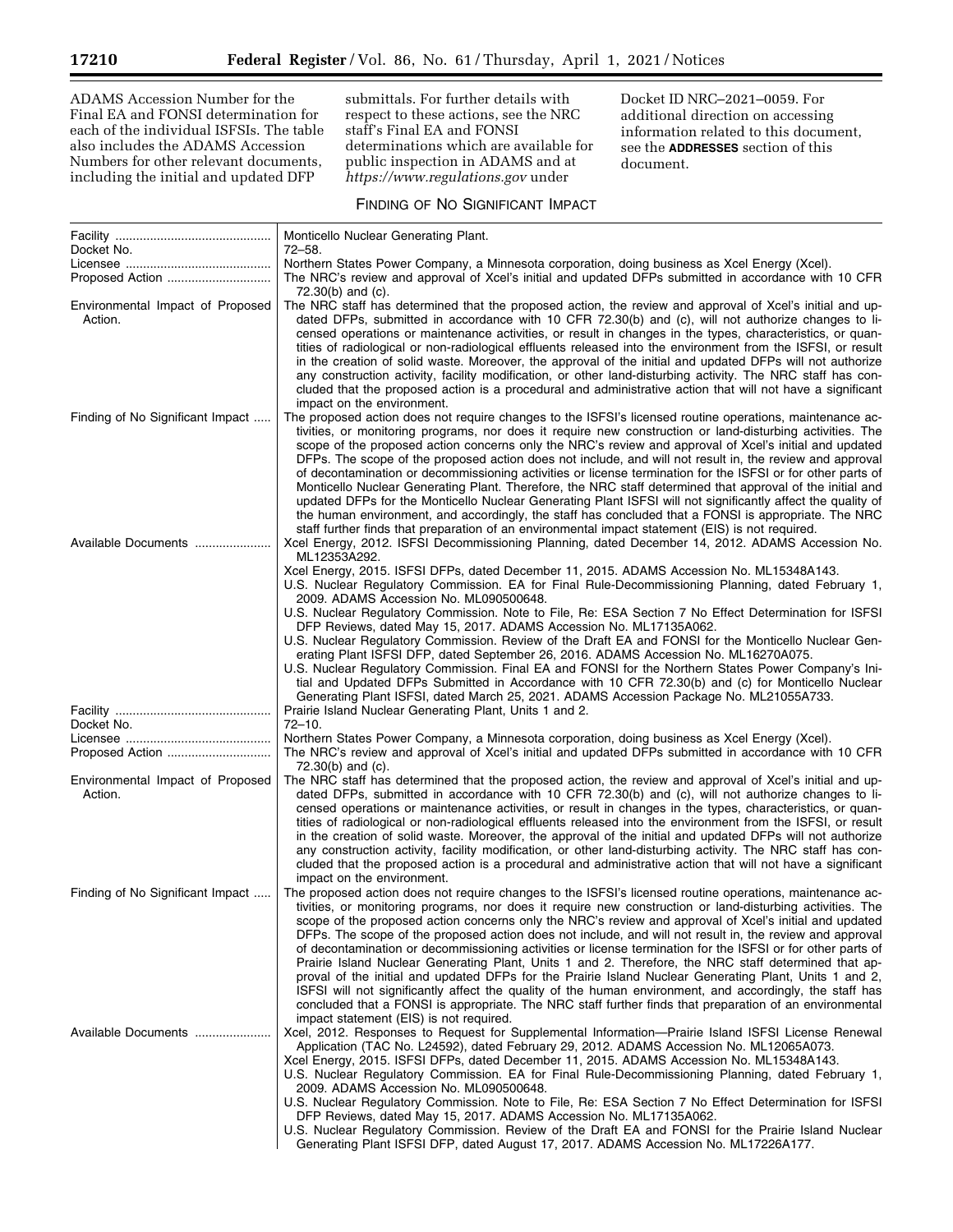ADAMS Accession Number for the Final EA and FONSI determination for each of the individual ISFSIs. The table also includes the ADAMS Accession Numbers for other relevant documents, including the initial and updated DFP

submittals. For further details with respect to these actions, see the NRC staff's Final EA and FONSI determinations which are available for public inspection in ADAMS and at *<https://www.regulations.gov>* under

Docket ID NRC–2021–0059. For additional direction on accessing information related to this document, see the **ADDRESSES** section of this document.

# FINDING OF NO SIGNIFICANT IMPACT

|                                             | Monticello Nuclear Generating Plant.                                                                                                                                                                                                                                                                                                                                                                                                                                                                                                                                                                                                                                                                                                                                                                                                                                                                                                                                                                                                           |
|---------------------------------------------|------------------------------------------------------------------------------------------------------------------------------------------------------------------------------------------------------------------------------------------------------------------------------------------------------------------------------------------------------------------------------------------------------------------------------------------------------------------------------------------------------------------------------------------------------------------------------------------------------------------------------------------------------------------------------------------------------------------------------------------------------------------------------------------------------------------------------------------------------------------------------------------------------------------------------------------------------------------------------------------------------------------------------------------------|
| Docket No.                                  | 72–58.                                                                                                                                                                                                                                                                                                                                                                                                                                                                                                                                                                                                                                                                                                                                                                                                                                                                                                                                                                                                                                         |
|                                             | Northern States Power Company, a Minnesota corporation, doing business as Xcel Energy (Xcel).                                                                                                                                                                                                                                                                                                                                                                                                                                                                                                                                                                                                                                                                                                                                                                                                                                                                                                                                                  |
|                                             | The NRC's review and approval of Xcel's initial and updated DFPs submitted in accordance with 10 CFR<br>$72.30(b)$ and $(c)$ .                                                                                                                                                                                                                                                                                                                                                                                                                                                                                                                                                                                                                                                                                                                                                                                                                                                                                                                 |
| Environmental Impact of Proposed<br>Action. | The NRC staff has determined that the proposed action, the review and approval of Xcel's initial and up-<br>dated DFPs, submitted in accordance with 10 CFR 72.30(b) and (c), will not authorize changes to li-<br>censed operations or maintenance activities, or result in changes in the types, characteristics, or quan-<br>tities of radiological or non-radiological effluents released into the environment from the ISFSI, or result<br>in the creation of solid waste. Moreover, the approval of the initial and updated DFPs will not authorize<br>any construction activity, facility modification, or other land-disturbing activity. The NRC staff has con-<br>cluded that the proposed action is a procedural and administrative action that will not have a significant<br>impact on the environment.                                                                                                                                                                                                                           |
| Finding of No Significant Impact            | The proposed action does not require changes to the ISFSI's licensed routine operations, maintenance ac-<br>tivities, or monitoring programs, nor does it require new construction or land-disturbing activities. The<br>scope of the proposed action concerns only the NRC's review and approval of Xcel's initial and updated<br>DFPs. The scope of the proposed action does not include, and will not result in, the review and approval<br>of decontamination or decommissioning activities or license termination for the ISFSI or for other parts of<br>Monticello Nuclear Generating Plant. Therefore, the NRC staff determined that approval of the initial and<br>updated DFPs for the Monticello Nuclear Generating Plant ISFSI will not significantly affect the quality of<br>the human environment, and accordingly, the staff has concluded that a FONSI is appropriate. The NRC<br>staff further finds that preparation of an environmental impact statement (EIS) is not required.                                             |
| Available Documents                         | Xcel Energy, 2012. ISFSI Decommissioning Planning, dated December 14, 2012. ADAMS Accession No.<br>ML12353A292.<br>Xcel Energy, 2015. ISFSI DFPs, dated December 11, 2015. ADAMS Accession No. ML15348A143.<br>U.S. Nuclear Regulatory Commission. EA for Final Rule-Decommissioning Planning, dated February 1,                                                                                                                                                                                                                                                                                                                                                                                                                                                                                                                                                                                                                                                                                                                               |
|                                             | 2009. ADAMS Accession No. ML090500648.<br>U.S. Nuclear Regulatory Commission. Note to File, Re: ESA Section 7 No Effect Determination for ISFSI<br>DFP Reviews, dated May 15, 2017. ADAMS Accession No. ML17135A062.<br>U.S. Nuclear Regulatory Commission. Review of the Draft EA and FONSI for the Monticello Nuclear Gen-<br>erating Plant ISFSI DFP, dated September 26, 2016. ADAMS Accession No. ML16270A075.<br>U.S. Nuclear Regulatory Commission. Final EA and FONSI for the Northern States Power Company's Ini-<br>tial and Updated DFPs Submitted in Accordance with 10 CFR 72.30(b) and (c) for Monticello Nuclear<br>Generating Plant ISFSI, dated March 25, 2021. ADAMS Accession Package No. ML21055A733.                                                                                                                                                                                                                                                                                                                      |
|                                             | Prairie Island Nuclear Generating Plant, Units 1 and 2.                                                                                                                                                                                                                                                                                                                                                                                                                                                                                                                                                                                                                                                                                                                                                                                                                                                                                                                                                                                        |
| Docket No.                                  | $72 - 10.$                                                                                                                                                                                                                                                                                                                                                                                                                                                                                                                                                                                                                                                                                                                                                                                                                                                                                                                                                                                                                                     |
| Proposed Action                             | Northern States Power Company, a Minnesota corporation, doing business as Xcel Energy (Xcel).<br>The NRC's review and approval of Xcel's initial and updated DFPs submitted in accordance with 10 CFR<br>$72.30(b)$ and $(c)$ .                                                                                                                                                                                                                                                                                                                                                                                                                                                                                                                                                                                                                                                                                                                                                                                                                |
| Environmental Impact of Proposed<br>Action. | The NRC staff has determined that the proposed action, the review and approval of Xcel's initial and up-<br>dated DFPs, submitted in accordance with 10 CFR 72.30(b) and (c), will not authorize changes to li-<br>censed operations or maintenance activities, or result in changes in the types, characteristics, or quan-<br>tities of radiological or non-radiological effluents released into the environment from the ISFSI, or result<br>in the creation of solid waste. Moreover, the approval of the initial and updated DFPs will not authorize<br>any construction activity, facility modification, or other land-disturbing activity. The NRC staff has con-<br>cluded that the proposed action is a procedural and administrative action that will not have a significant<br>impact on the environment.                                                                                                                                                                                                                           |
| Finding of No Significant Impact            | The proposed action does not require changes to the ISFSI's licensed routine operations, maintenance ac-<br>tivities, or monitoring programs, nor does it reguire new construction or land-disturbing activities. The<br>scope of the proposed action concerns only the NRC's review and approval of Xcel's initial and updated<br>DFPs. The scope of the proposed action does not include, and will not result in, the review and approval<br>of decontamination or decommissioning activities or license termination for the ISFSI or for other parts of<br>Prairie Island Nuclear Generating Plant, Units 1 and 2. Therefore, the NRC staff determined that ap-<br>proval of the initial and updated DFPs for the Prairie Island Nuclear Generating Plant, Units 1 and 2,<br>ISFSI will not significantly affect the quality of the human environment, and accordingly, the staff has<br>concluded that a FONSI is appropriate. The NRC staff further finds that preparation of an environmental<br>impact statement (EIS) is not required. |
| Available Documents                         | Xcel, 2012. Responses to Request for Supplemental Information—Prairie Island ISFSI License Renewal<br>Application (TAC No. L24592), dated February 29, 2012. ADAMS Accession No. ML12065A073.<br>Xcel Energy, 2015. ISFSI DFPs, dated December 11, 2015. ADAMS Accession No. ML15348A143.<br>U.S. Nuclear Regulatory Commission. EA for Final Rule-Decommissioning Planning, dated February 1,<br>2009. ADAMS Accession No. ML090500648.<br>U.S. Nuclear Regulatory Commission. Note to File, Re: ESA Section 7 No Effect Determination for ISFSI<br>DFP Reviews, dated May 15, 2017. ADAMS Accession No. ML17135A062.<br>U.S. Nuclear Regulatory Commission. Review of the Draft EA and FONSI for the Prairie Island Nuclear<br>Generating Plant ISFSI DFP, dated August 17, 2017. ADAMS Accession No. ML17226A177.                                                                                                                                                                                                                           |

▬